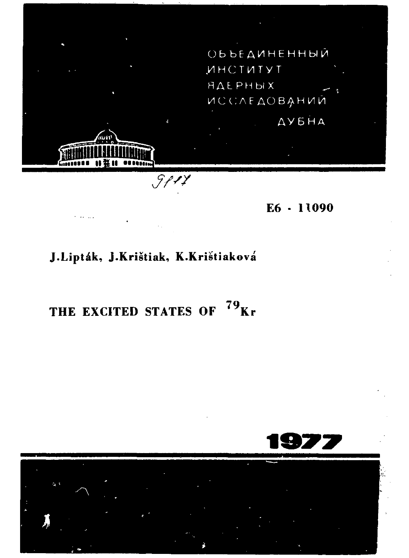ОБЪЕДИНЕННЫЙ **ИНСТИТУТ НДЕРНЫХ UCCAE AOBAHUM** ДУБНА  $\overline{\mathcal{S}$ pry

E6 - 11090

## J.Lipták, J.Krištiak, K.Krištiaková

THE EXCITED STATES OF <sup>79</sup>Kr

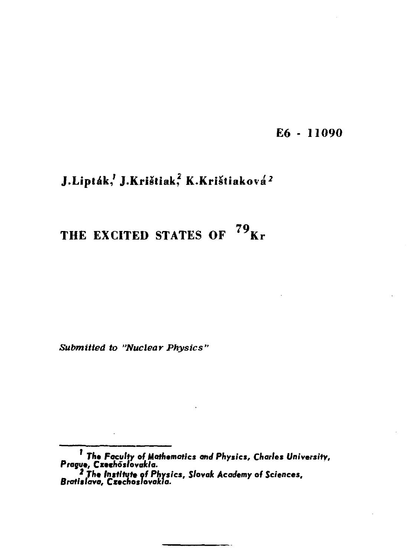**E6 - 11090** 

## **J.Liptak, J.Kristiak, K.Kristiakova<sup>2</sup>**

# **THE EXCITED STATES OF <sup>79</sup> K r**

*Submitted to "Nuclear Physics'* 

*The Faculty* **of** *Mathematics and Physics, Charles University, Prague, Cxeehoslovakla.* 

**<sup>&#</sup>x27; Tfc\*** *Institute of Physics, Slovak Academy of Sciences, Bratislava, Czechoslovakia.*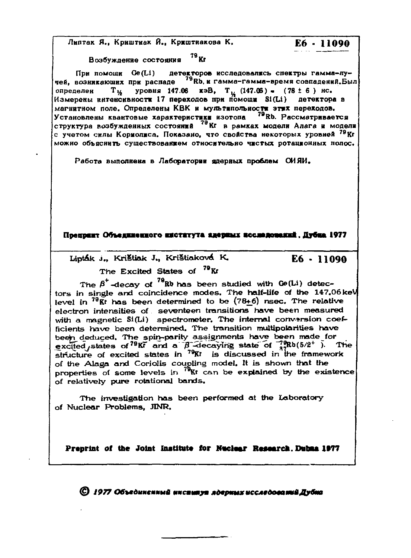Липтак Я., Криштиак Й., Криштиакова К.

E6 - 11090

Возбуждение состояния 79 Кг

При помощи Ge(Li) детекторов исследовалясь спектры гамма-лучей, возникающих при распаде 79 Rb, и гамма-гамма-время совпадений. Был  $T_{14}$  уровня 147.06 кэВ,  $T_{12}$  (147.06) = (78 ± 6) нс. определен Измерены интенсивности 17 переходов при помощи Si(Li) детектора в магнитном поле. Определены КВК и мультипольности этих переходов. Установлены квантовые характеристики и составит от получительного и рассматривается с учетом силы Кормолиса. Показано, что свойства некоторых уровней <sup>79</sup> Kr MOЖНО Объяснить существованием относительно чистых ротанионных полос.

Работа выполнена в Лаборатории ядерных проблем СИЯИ.

Hoement Ofnesseemoro Exctervia secuent accessomenti, Hyöna 1977

Lipták J., Krištiak J., Krištiaková K.

 $E6 - 11090$ 

The Excited States of <sup>79</sup>Kr

The  $\beta^+$ -decay of <sup>79</sup>Rb has been studied with Ge(Li) detectors in single and coincidence modes. The half-life of the 147.06 keV level in  $^{79}$ Kt has been determined to be  $(78+6)$  nsec. The relative electron intensities of seventeen transitions have been measured with a magnetic Si(Li) spectrometer. The internal conversion coefficients have been determined. The transition multipolarities have been deduced. The spin-parity assignments have been made for excited states of  $79Kr$  and a  $\beta$  -decaying state of  $\frac{79Rb(5/2^+)}{28Rb(5/2^+)}$ . The structure of excited states in  $\frac{79Rt}{k}$  is discussed in the framework of the Alaga and Coriolis coupling model. It is shown that the properties of some levels in <sup>79</sup>Kt can be explained by the existence of relatively pure rotational bands.

The investigation has been performed at the Laboratory of Nuclear Problems, JINR,

Preprint of the Joint Institute for Nuclear Research. Dubna 1977

© 1977 Объединенный институт лдерных исследований Дубна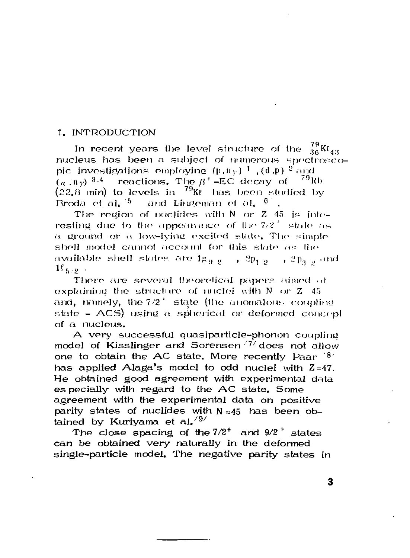### 1. INTRODUCTION

In recent years the level structure of the  $^{79}_{36}$ Kr<sub>43</sub> nucleus has been a subject of numerous spectroscobic investigations employing  $(p, n_y)$ <sup>1</sup>  $(d, p)$ <sup>2</sup> and  $(a, ny)$ <sup>3.4</sup> reactions. The  $\beta^+$ -EC decay of <sup>79</sup>Rb  $(22.8 \text{ min})$  to levels in  $^{79}$ Kr has been studied by Broda et al.  $5$  and Lingeman et al.  $6$ .

The region of nuclides with  $N$  or  $Z$  45 is interesting due to the appearance of the  $7/2^+$  state as a ground or a low-lying excited state. The simple shell model cannot account for this state as the available shell states are  $1g_{\alpha,\theta} = 1, 2p_{1,\theta} = 2p_{2,\theta}$  and  $1f_{5,0}$ .

There are several theoretical papers aimed at explaining the structure of nuclei with  $N$  or  $Z$  45 and, namely, the  $7/2^+$  state (the anomalous coupling state - ACS) using a spherical or deformed concept of a nucleus.

A very successful quasiparticle-phonon coupling model of Kisslinger and Sorensen<sup>77</sup> does not allow one to obtain the AC state. More recently Paar '8' has applied Alaga's model to odd nuclei with  $2=47$ . He obtained good agreement with experimental data es pecially with regard to the AC state, Some agreement with the experimental data on positive parity states of nuclides with  $N \approx 45$  has been obtained by Kurivama et al.<sup>/9/</sup>

The close spacing of the  $7/2^+$  and  $9/2^+$  states can be obtained very naturally in the deformed single-particle model. The negative parity states in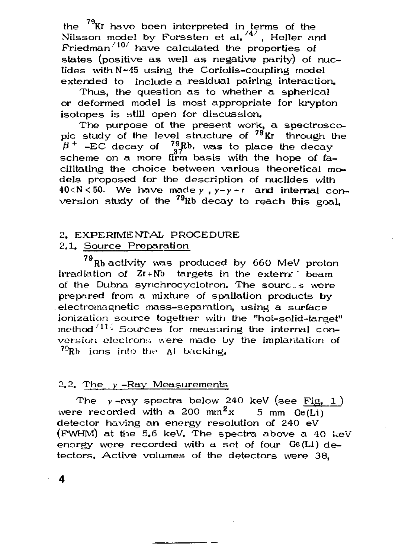the  $^{79}$ Kr have been interpreted in terms of the Nilsson model by Forssten et al, <sup>/4/</sup>, Heller and Friedman $^{710}$  have calculated the properties of states (positive as well as negative parity) of nuclides with N~45 using the Coriolis-coupling model extended to include a residual pairing interaction.

Thus, the question as to whether a spherical or deformed model is most appropriate for krypton isotopes is still open for discussion.

The purpose of the present work, a spectroscopic study of the level structure of <sup>79</sup>Kr through the  $\beta$ <sup>+</sup> -EC decay of  $^{79}_{97}$ Rb, was to place the decay scheme on a more firm basis with the hope of  $f_{\text{a}}$ cilitating the choice between various theoretical models proposed for the description of nuclides with 40<N<50. We have made у *,y-y-r* and internal conversion study of the <sup>79</sup>Rb decay to reach this goal.

### 2. EXPERIMENTAL PROCEDURE

### 2.1. Source Preparation

<sup>79</sup> Rb activity was produced by 660 MeV proton irradiation of  $Zr + Nb$  targets in the extern beam of the Dubna synchrocyclotron. The sources were prepared from a mixture of spallation products by electromagnetic mass-separation, using a surface ionization source together with the "hot-solid-target" method  $\frac{117}{5}$  Sources for measuring the internal conmethod' 1 Journes for measuring the internal conversion electrons were made by the implantation of  $^{79}$ Rb ions into the Al backing.

#### $2.2.$  The  $y$ -Ray Measurements

The  $y$ -ray spectra below 240 keV (see Fig. 1) were recorded with a 200 mm $x$  5 mm Ge(Li) detector having an energy resolution of 240 eV (PWHM) at the 5.6 keV. The spectra above a 40 keV energy were recorded with a set of four  $Ge(Li)$  detectors. Active volumes of the detectors were 38,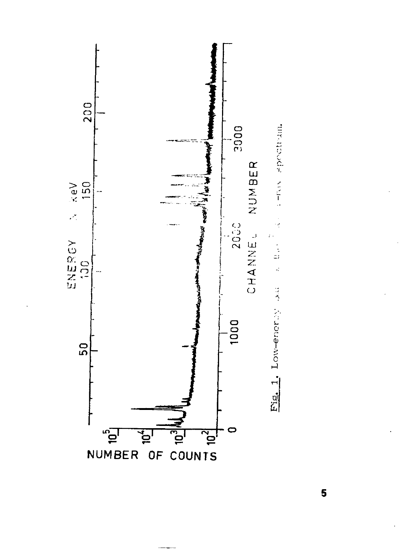

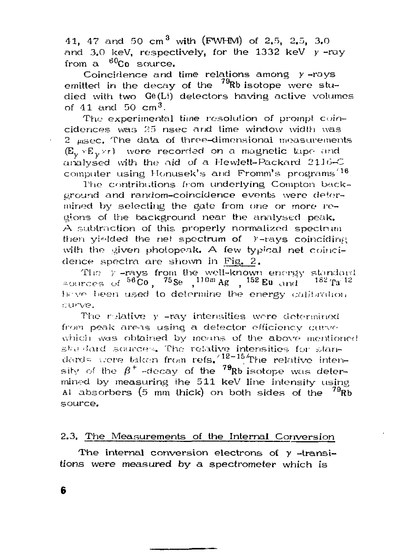41, 47 and 50 cm<sup>3</sup> with (FWHM) of 2.5, 2.5, 3.0 and 3.0 keV, respectively, for the 1332 keV  $y$  -ray from a <sup>60</sup>Co source.

Coincidence and time relations among *у* -rays emitted in the decay of the  $^{79}$ Rb isotope were studied with two Ge(Li) detectors having active volumes of  $41$  and  $50$  cm<sup>3</sup>.

The experimental time resolution of prompt coincidences was 25 nsec and time window width was  $2$   $_{\text{msec}}$ . The data of three-dimensional measurements (E<sup>y</sup> <sup>V</sup>E*уУт)* were recorded on a magnetic tape and analysed with the aid of a Hewlett-Packard  $2116-$ C computer using Honusek's and Fromm's programs  $16$ .

The contributions from underlying Compton background and random-coincidence events were determined by selecting the gate from one or more regions of the background near the analysed peak. A subtraction of this properly normalized spectrum then violded the net spectrum of  $Y$ -rays coinciding with the given photopeak. A few typical net coincidence spectra are shown in Fig. 2.

The y-rays from the well-known energy standard ≈ources of <sup>56</sup>Co, <sup>75</sup>Se ,<sup>110</sup>™Ag , <sup>152</sup> Eu and <sup>182</sup> Ta hc-ve been used to determine the energy calibration curve.

The relative y -ray intensities were determined from peak areas using a detector efficiency curve which was obtained by means of the above mentioned sko-Jard sources. The relative intensities for standards were taken from refs.<sup>/12-15</sup> The relative intensity of the  $\beta^+$  -decay of the  $^{79}$ Rb isotope was determined by measuring the 511 keV line intensity using Al absorbers (5 mm thick) on both sides of the  $^{79}\mathrm{Rb}$ source.

### 2.3. The Measurements of the Internal Conversion

The internal conversion electrons of  $y$  -transitions were measured by a spectrometer which is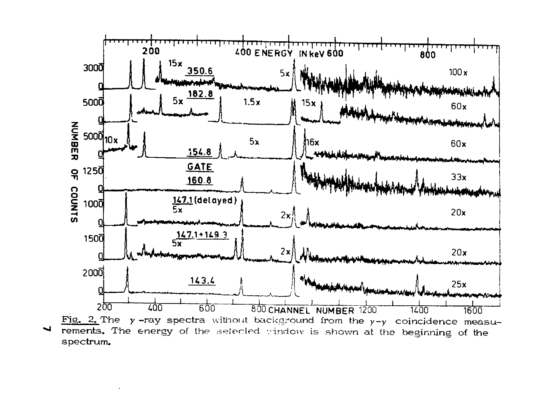

spectrum.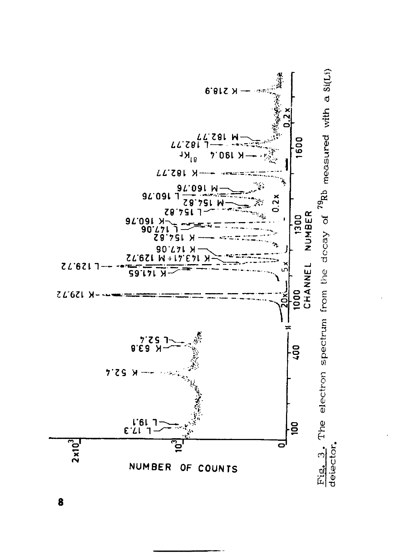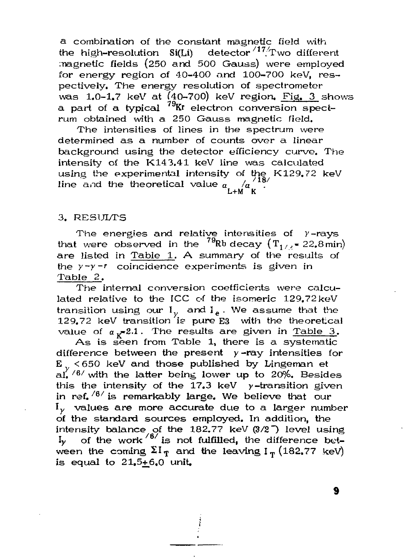a combination of the constant magnetic field with the high-resolution  $Si(Li)$  detector  $\frac{17}{T}$  wo different magnetic fields (250 and 500 Gauss) were employed for energy region of 40-400 and 100-700 keV, respectively. The energy resolution of spectrometer was 1.0-1.7 keV at (40-700) keV region. Pig. 3 shows a part of a typical  $79$ Kr electron conversion spectrum obtained with a 250 Gauss magnetic field.

The intensities of lines in the spectrum were determined as a number of counts over a linear background using the detector efficiency curve. The intensity of the K143.41 keV line was calculated using the experimental intensity of the K129.72 keV  $\lim_{\alpha \to 0} a_{\text{ind}}$  the theoretical value  $a_{\text{L+M}}^2 a_{\text{K}}^2$ 

### 3. RESULTS

The energies and relative intensities of  $\gamma$ -rays that were observed in the  $^{79}$ Rb decay  $\left(T_{1/2}$  = 22.8 min) are listed in Table 1. A summary of the results of the *y-y-f* coincidence experiments is given in Table 2.

The internal conversion coefficients were calculated relative to the ICC of the isomeric 129.72keV transition using our  $I_v$  and  $I_e$  . We assume that the 129.72 keV transition is pure  $E3$  with the theoretical value of  $a_v=2.1$ . The results are given in Table 3.

As is seen from Table 1, there is a systematic difference between the present  $y$ -ray intensities for  $E_{\odot}$  < 650 keV and those published by Lingeman et al.  $/6/$  with the latter being lower up to 20%. Besides this the intensity of the  $17.3$  keV y-transition given in ref. $\frac{8}{6}$  is remarkably large. We believe that our  $I_{\nu}$  values are more accurate due to a larger number of the standard sources employed. In addition, the intensity balance of the 182.77 keV (3/2<sup>7</sup>) level using  $I_y$  of the work  $\frac{16}{15}$  is not fulfilled, the difference between the coming  $\Sigma I_T$  and the leaving  $I_T$  (182.77 keV) is equal to  $21.5+6.0$  unit.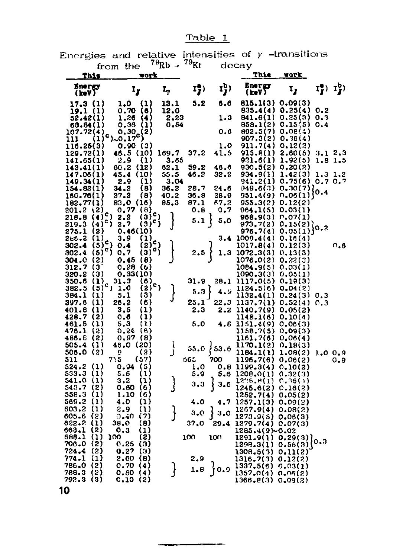Table 1

Energies and relative intensities of  $\gamma$  -transitions

|                                   | from the                                                 | $^{\prime}$ <sup>-</sup> Rb - | ' "Kr        |              | decay                          |                     |                     |        |
|-----------------------------------|----------------------------------------------------------|-------------------------------|--------------|--------------|--------------------------------|---------------------|---------------------|--------|
| This                              | work                                                     |                               |              |              | Thie                           | vork                |                     |        |
| Energy<br>(keV)                   | Ι,                                                       | ı,                            | 17)          |              | Energy<br>(keV)                | 1,                  | $I_J^b$ ) $I_J^b$ ) |        |
| 17.3 (1)                          | (1)<br>1.0                                               | 13.1                          | 5.2          | 6.6          | 815.1(3) 0.09(3)               |                     |                     |        |
| 19.1 (1)                          | (6)<br>0.70                                              | 12.0                          |              |              | 835.4(4)                       | 0,25(4)             | 0.2                 |        |
| 52.42(1)                          | (4)<br>1.26                                              | 2.23                          |              | 1.3          | 841.6(1)                       | 0.25(3)             | 0.3                 |        |
| 63.84(1)                          | 0.36<br>(1)                                              | 0.54                          |              |              | 858.1(2)                       | 0.15(5)             | 0.4                 |        |
| 107.72(4)<br>$\bf(1)$             | $c_{1,0.17}^{0.30}(2)$                                   |                               |              | 0.6          | 892.5(7)<br>907.3(2)           | 0.08(1)<br>0.36(4)  |                     |        |
| 111<br>116.25(3)                  | 0.90 (3)                                                 |                               |              | 1.0          | 911.7(4)                       | 0,12(2)             |                     |        |
| 129.72(1)                         | 46.5 (10)                                                | 169.7                         | 37.2         | 41.5         | 915.8(1)                       | 2.60(5)             | 3.12.3              |        |
| 141.65(1)                         | 2.9<br>(1)                                               | 3.65                          |              |              | 921.6(1)                       | 1.92(5)             | 1.8 1.5             |        |
| 143.41(1)                         | (12)<br>60.2                                             | 62.1                          | 59.2         | 46.6         | 930,5(2)                       | 0,20(2)             |                     |        |
| 147.06(1)                         | (10)<br>45.4                                             | 55.5                          | 46.2         | 32.2         | 934.9(1)                       | 1.42(3)             | 1.3 1.2             |        |
| 149.34(1)                         | $\mathbf{u}$<br>2.9                                      | 3.04                          |              |              | 941.2(1)                       | 0.75(6) 0.7 0.7     |                     |        |
| 154.82(1)<br>160.76(1)            | (8)<br>34.2<br>37.2<br>(8)                               | 36.2<br>40.2                  | 28.7<br>36.8 | 24.6<br>28.9 | 949.6(3)<br>951.4(9)           | 0.30(7)]<br>0.06(1) | 0.4                 |        |
| 182.77(1)                         | 83,0 (16)                                                | 85.3                          | 87.1         | 67,2         | 955.3(2)                       | 0.12(2)             |                     |        |
| (2)<br>201.2                      | 0.77<br>(8)                                              |                               | 0.8          | 0,7          | 964.1(5)                       | 0.03(1)             |                     |        |
| $(4)^c$<br>218.8                  | $\left(\frac{1}{2}\right)^c$<br>2.2                      |                               |              |              | 968.9(3)                       | 0.07(1)             |                     |        |
| ۰,<br>219.3<br>(4)                | (3)°)<br>2,7                                             |                               | ן נ.5        | 5.0          | 973.7(2)                       | 0.15(2)             | 0.2                 |        |
| (2)<br>275.1                      | 0.46(10)                                                 |                               |              |              | 976,7(4)                       | 0.05(1)             |                     |        |
| (1)<br>266.2<br>$(5)^c$           | 3.9<br>(1)<br>$(2)$ c)                                   |                               |              | 3.4          | 1009.4(4)                      | 0.16(4)             |                     |        |
| 302.4<br>$(5)^c$<br>302.4         | 0.4<br>$\mathfrak{so}^{\mathfrak{e}\mathfrak{f}}$<br>0.7 |                               | 2.5          | 1.3          | 1017.8(4)<br>1072.3(3)         | 0.12(3)<br>0, 13(3) |                     | ი. ი   |
| (2)<br>304.0                      | 0.45<br>(8)                                              |                               |              |              | 1076.0(2)                      | 0.22(3)             |                     |        |
| (3<br>312.7                       | 0.28(6)                                                  |                               |              |              | 1084.9(5)                      | 0,03(1)             |                     |        |
| (3)<br>320.2                      | 0,33(10)                                                 |                               |              |              | 1090.3(3)                      | 0,05(1)             |                     |        |
| (1)<br>350.6                      | 31.3<br>(6)                                              |                               | 31.9         | 28.1         | 1117.0(5)                      | 0.19(3)             |                     |        |
| 382.5<br>(5)                      | $c_{1,1,0}$<br>$(2)^c$                                   |                               | 5.3          | 4.9          | 1124.5(6)                      | 0.04(2)             |                     |        |
| (1)<br>384.1<br>$\left(1\right)$  | (3)<br>5,1                                               |                               | 25.1         |              | 1132.4(1)                      | 0.24(3)             | 0.3                 |        |
| 397.6<br>$\bf(1)$<br>401.8        | 26.2<br>(6)<br>3,5<br>(1)                                |                               | 2.3          | 22.3<br>2.2  | 1137.7(1)<br>1140.7(9)         | 0.52(4)<br>0.05(2)  | 0.3                 |        |
| (2)<br>428.7                      | (1)<br>0.6                                               |                               |              |              | 1148.1(6)                      | 0.10(4)             |                     |        |
| 461.5<br>$\left(1\right)$         | 5.3<br>(1)                                               |                               | 5.0          |              | 4.8 1151.4(9)                  | 0.06(3)             |                     |        |
| (2)<br>476.1                      | 0.24<br>{6}                                              |                               |              |              | 1158.7(5)                      | 0.09(3)             |                     |        |
| (8)<br>486.B                      | 0.97<br>(8)                                              |                               |              |              | 1161.7(6)                      | 0.06(4)             |                     |        |
| $\Omega$<br>505.4                 | 46.0 (20)                                                |                               | 55.0         | ${53.6}$     | 1170.1(2)                      | 0, 18(3)            |                     |        |
| 506.0<br>(2)<br>511               | (2)<br>ō<br>715<br>(57)                                  |                               | 665          | 700          | 1184.1(1)                      | 1.08(2)             |                     | 1.00.9 |
| (1)<br>524.2                      | 0.94<br>(5)                                              |                               | 1.0          | 0.8          | 1196.7(6) 0.06(2)<br>1199.3(4) | 0.10(2)             |                     | 0.9    |
| $\left(1\right)$<br>533.3         | 5.6<br>(1)                                               |                               | 5.9          | 5.6          | 1208.0(1)                      | 0.32(3)             |                     |        |
| $\{1\}$<br>541.0                  | 3.2<br>(1)                                               |                               |              | 3.6          | 1225.8(1)                      | 0.36(4)             |                     |        |
| (2)<br>543.7                      | 0.60<br>(6)                                              |                               | 3.3          |              | 1245.6(2)                      | 0.16(2)             |                     |        |
| 558.3<br>(1)                      | (6)<br>1.10                                              |                               |              |              | 1252.7(4)                      | 0.05(2)             |                     |        |
| 569.2<br>(1)<br>603.2<br>(1)      | 4.0<br>(1)<br>(1)                                        |                               | 4.0          | 4.7          | 1257.1(3)                      | 0.09(2)             |                     |        |
| (2)<br>605.6                      | 2.9<br>(7)<br>ລ. 40                                      |                               | 3,0          | 3.0          | 1267.9(4)<br>1273.9(5)         | 0.08(2)<br>0.06(3)  |                     |        |
| $\mathbf{u}$<br>622.2             | 38.0<br>{8}                                              |                               | 37.0         | 29.4         | 1279.7(4) 0.07(3)              |                     |                     |        |
| (2)<br>663.1                      | (1)<br>о, з                                              |                               |              |              | 1285.4(9)~0.02                 |                     |                     |        |
| 688.1<br>$\Omega$                 | (2)<br>100                                               |                               | 100          | 100          | 1291.9(1) 0.29(3)]             |                     | 0.3                 |        |
| (2)<br>706.0                      | (3)<br>0.25                                              |                               |              |              | 1298.3(1)                      | 0.56(3)             |                     |        |
| 724.4<br>(2)<br>774.1<br>$\Omega$ | 0.27<br>(3)<br>2.60<br>(8)                               |                               | 2.9          |              | 1308.5(3) 0.11(2)              |                     |                     |        |
| (2)<br>786.0                      | 0.70<br>(4)                                              |                               |              |              | 1316.7(3) 0.12(2)<br>1337.5(6) | 0.03(1)             |                     |        |
| 788.3<br>(2)                      | 0.80<br>(4)                                              |                               | 1.8          | 10.9         | 1357.0(4) 0.05(2)              |                     |                     |        |
| 792.3 (3)                         | c.10<br>(8)                                              |                               |              |              | 1366.8(3) C.09(2)              |                     |                     |        |
| 10                                |                                                          |                               |              |              |                                |                     |                     |        |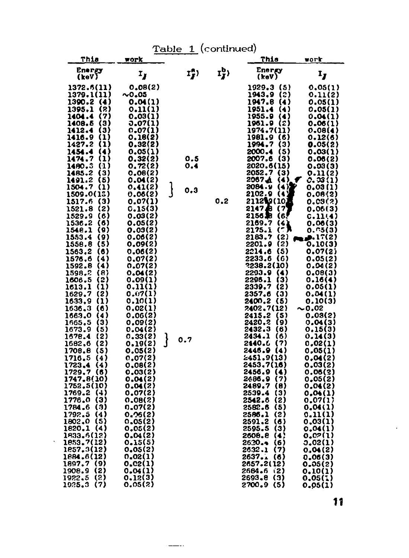|                                                                                                                                                                                                                                                                                                                                                                                                                                                                                                                                                                                                                                                                                                                                                                                                                                                                                                                 |                                                                                                                                                                                                                                                                                                                                                                                                                                                                                                                                                                                                   | Table                    | 1 (continued) |                                                                                                                                                                                                                                                                                                                                                                                                                                                                                                                                                                                                                                                                                                                                                                                                                                                                                            |                                                                                                                                                                                                                                                                                                                                                                                                                                                                                                                                                                                                         |
|-----------------------------------------------------------------------------------------------------------------------------------------------------------------------------------------------------------------------------------------------------------------------------------------------------------------------------------------------------------------------------------------------------------------------------------------------------------------------------------------------------------------------------------------------------------------------------------------------------------------------------------------------------------------------------------------------------------------------------------------------------------------------------------------------------------------------------------------------------------------------------------------------------------------|---------------------------------------------------------------------------------------------------------------------------------------------------------------------------------------------------------------------------------------------------------------------------------------------------------------------------------------------------------------------------------------------------------------------------------------------------------------------------------------------------------------------------------------------------------------------------------------------------|--------------------------|---------------|--------------------------------------------------------------------------------------------------------------------------------------------------------------------------------------------------------------------------------------------------------------------------------------------------------------------------------------------------------------------------------------------------------------------------------------------------------------------------------------------------------------------------------------------------------------------------------------------------------------------------------------------------------------------------------------------------------------------------------------------------------------------------------------------------------------------------------------------------------------------------------------------|---------------------------------------------------------------------------------------------------------------------------------------------------------------------------------------------------------------------------------------------------------------------------------------------------------------------------------------------------------------------------------------------------------------------------------------------------------------------------------------------------------------------------------------------------------------------------------------------------------|
| This                                                                                                                                                                                                                                                                                                                                                                                                                                                                                                                                                                                                                                                                                                                                                                                                                                                                                                            | work                                                                                                                                                                                                                                                                                                                                                                                                                                                                                                                                                                                              |                          |               | This                                                                                                                                                                                                                                                                                                                                                                                                                                                                                                                                                                                                                                                                                                                                                                                                                                                                                       | work                                                                                                                                                                                                                                                                                                                                                                                                                                                                                                                                                                                                    |
| <b>Energy</b><br>(keV)                                                                                                                                                                                                                                                                                                                                                                                                                                                                                                                                                                                                                                                                                                                                                                                                                                                                                          | $\mathbf{r}_{\mathbf{r}}$                                                                                                                                                                                                                                                                                                                                                                                                                                                                                                                                                                         | 17)                      | rb)           | Energy<br>(keV)                                                                                                                                                                                                                                                                                                                                                                                                                                                                                                                                                                                                                                                                                                                                                                                                                                                                            | ι,                                                                                                                                                                                                                                                                                                                                                                                                                                                                                                                                                                                                      |
| 1372.6(11)<br>1379.1(11)<br>1390.2<br>(4)<br>1395.1<br>(2)<br>(7)<br>1404.4<br>(3)<br>1408.5<br>$\bf(3)$<br>1412.4<br>(1)<br>1416.9<br>(1)<br>1427.2<br>1454.4<br>(4)<br>(1)<br>1474.7<br>1480.3<br>(1)<br>1485.2<br>(3)<br>1491.2<br>(5)<br>1504.7<br>(1)<br>1509.0(18)<br>1517.6<br>$\left(3\right)$<br>(2)<br>1521.8<br>1529.9<br>(6)<br>1536.2<br>(6)<br>(9)<br>154e.l<br>(9)<br>1553.4<br>(5)<br>1558.8<br>1563,2<br>(6)<br>1576.6<br>(4)<br>(4)<br>1592.8<br>1598.2<br>(a)<br>1606.5<br>(2)<br>(1)<br>1613.1<br>1629.7<br>(2)<br>$\bf(1)$<br>1633.9<br>1636.3<br>(6)<br>(4)<br>1663.0<br>(3)<br>1665.5<br>1673.9<br>(5)<br>(2)<br>1678.4<br>(2)<br>1682.6<br>1708.8<br>(5)<br>1716.5<br>(4)<br>(4)<br>1723.4<br>1729,7<br>(6)<br>1747.8(10)<br>1752.5(10)<br>1769.2<br>(4)<br>1776.0<br>(3)<br>1784.6<br>(3)<br>1792.5<br>(4)<br>1802,0<br>(5)<br>1820.1<br>(4)<br>1833.6(12)<br>1853.7(12)<br>1857.3(12) | 0.08(2)<br>${\sim}0.05$<br>0.01(1)<br>0.11(1)<br>0.03(1)<br>J.07(1)<br>0.07(1)<br>0.18(2)<br>0.32(2)<br>0.05(1)<br>0.32(2)<br>0.72(2)<br>0.0B(2)<br>0.04(2)<br>0.41(2)<br>0.06(2)<br>0.07(1)<br>c.15(3<br>ı<br>0.03(2)<br>0.05(2)<br>0.03(2)<br>0.06(2)<br>0.09(2)<br>0.06(2)<br>0.07(2)<br>0.07(2)<br>0.04(2)<br>0.09(1)<br>0.11(1)<br>0.07(1)<br>0.10(1)<br>0.02(1)<br>0.06(2)<br>0.09(2)<br>0.04(2)<br>0.33(2)<br>0.19(2)<br>0.05(2)<br>0,07(2)<br>0.08(2)<br>0.03(2)<br>0.04(2)<br>0.04(2)<br>0.07(2)<br>0.08(2)<br>0.07(2)<br>0.26(2)<br>0,05(2)<br>0,05(2)<br>0.04(2)<br>0.15(5)<br>0.05(2) | 0.5<br>0.4<br>0.3<br>0.7 | 0.2           | 1929.3<br>(5)<br>1943.9<br>(2)<br>1947.8<br>(4)<br>1951.4<br>(4)<br>1955.9<br>(4)<br>1961.9<br>(2)<br>1974.7(11)<br>1981.9 (6)<br>1994.7<br>(3)<br>2000.4<br>(5)<br>2007.6<br>(3)<br>2020.6(15)<br>2052.7(3)<br>2067 A<br>(4)<br>(4 X<br>2084.9<br>2102.9<br>64<br>211219(10)<br>b<br>21474<br>(7<br>2156 SB<br>(6<br>2169.7<br>14<br>(7<br>2175.1<br>(2)<br>2183.7<br>2201.9<br>(2)<br>2214.6<br>(5)<br>2233.6<br>- (6)<br>?238.2(10)<br>2293.9<br>- (4)<br>2296.1<br>(3)<br>2339.7<br>(2)<br>2357.6<br>(3)<br>2400.2<br>(5)<br>2402.7(12)<br>2415.2<br>(5)<br>2420.2<br>(9)<br>2432.3<br>(6)<br>2434.1<br>(6)<br>(7)<br>2440.6<br>2446.9<br>(4)<br>2451.9(13)<br>2453,7(16)<br>2456.9<br>- (4)<br>(7)<br>2486.9<br>2489.7<br>(8)<br>2539.4<br>(3)<br>2542.6<br>(2)<br>2582.6<br>(5)<br>2586.1<br>(2)<br>2591.2<br>(6)<br>(3)<br>2595.5<br>2606.8<br>(4<br>2620.4<br>(6)<br>2632.1<br>(7) | 0.05(1)<br>0.11(2)<br>0.05(1)<br>0.05(1)<br>0.04(1)<br>0.06(1)<br>0.08(4)<br>0.12(6)<br>0.05(2)<br>0.03(1)<br>0.06(2)<br>0.03(3)<br>0.11(2)<br>o. 33 (1)<br>0.03(1)<br>0.08(2)<br>0.03(2)<br>0.06(3)<br>c.11(4)<br>0.06(3)<br>0.C5(3)<br><b>p.</b> 17(2)<br>0.10(3)<br>0.07(2)<br>0.05(2)<br>0.04(2)<br>0.08(3)<br>0.16(4)<br>0.05(1)<br>0.04(1)<br>0.10(3)<br>~0.02<br>0.03(2)<br>0.04(3)<br>0.15(3)<br>0.14(3)<br>0.02(1)<br>0.05(1)<br>0.04(2)<br>0.03(2)<br>0.06(3)<br>0.05(2)<br>0.01(2)<br>0.04(1)<br>0.07(1)<br>0.04(1)<br>0.11(1)<br>0.03(1)<br>0.04(1)<br><b>0.C2(1)</b><br>0.02(1)<br>0.04(2) |
| 1884.6(12)<br>1897.7 (9)<br>(2)<br>1908.9                                                                                                                                                                                                                                                                                                                                                                                                                                                                                                                                                                                                                                                                                                                                                                                                                                                                       | 0.02(1)<br>0.C2(1)<br>0.04(1)                                                                                                                                                                                                                                                                                                                                                                                                                                                                                                                                                                     |                          |               | 2637.1<br>(6)<br>2657.2(12)<br>2684.6<br>(2)                                                                                                                                                                                                                                                                                                                                                                                                                                                                                                                                                                                                                                                                                                                                                                                                                                               | 0.06(3)<br>0.05(2)<br>0.10(1)                                                                                                                                                                                                                                                                                                                                                                                                                                                                                                                                                                           |
| (2)<br>1922.5<br>1925.3<br>(7)                                                                                                                                                                                                                                                                                                                                                                                                                                                                                                                                                                                                                                                                                                                                                                                                                                                                                  | 0.12(3)<br>0.05(2)                                                                                                                                                                                                                                                                                                                                                                                                                                                                                                                                                                                |                          |               | 2693.8<br>(3)<br>2700.9 (5)                                                                                                                                                                                                                                                                                                                                                                                                                                                                                                                                                                                                                                                                                                                                                                                                                                                                | 0.05(1<br>0.05(1)                                                                                                                                                                                                                                                                                                                                                                                                                                                                                                                                                                                       |

 $---$ 

l,

 $\ddot{\phantom{1}}$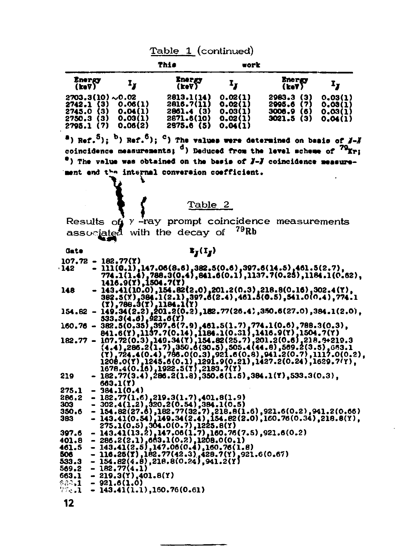|                                                                        |                               | This                                                 | vork                                     |                                                              |                                          |
|------------------------------------------------------------------------|-------------------------------|------------------------------------------------------|------------------------------------------|--------------------------------------------------------------|------------------------------------------|
| Energy<br>(keV)                                                        | Iy.                           | <i>Energy</i><br>(keV)                               | Ι,                                       | <b>Energy</b><br>(keY)                                       | I,                                       |
| $2703.3(10) \sim 0.02$<br>2742.1 (3)<br>2745.0<br>{3}<br>2750.3<br>(3) | 0.06(1)<br>0.04(1)<br>0.03(1) | 2813.1(14)<br>2816.7(11)<br>2861.4 (3)<br>2871.6(10) | 0.02(1)<br>0.02(1)<br>0.03(1)<br>0.02(1) | (3)<br>2983.3<br>2995.6<br>(7)<br>3006.9<br>(6)<br>3021.5(3) | 0.03(1)<br>0.03(1)<br>0.03(1)<br>0.04(1) |
| 2795.1<br>(7)                                                          | 0.06(2)                       | 2975.6 (5)                                           | 0.04(1)                                  |                                                              |                                          |

<sup>a</sup>) Ref.<sup>5</sup>); <sup>b</sup>) Ref.<sup>6</sup>); <sup>c</sup>) The values were determined on basis of *j*-*j* coincidence measurements; d) Deduced from the level scheme of <sup>79</sup>Kr; \*) The value was obtained on the basis of J-J coincidence measurement end the internal conversion coefficient.

Table 2

Results of  $y$  -ray prompt coincidence measurements<br>associated with the decay of  $^{79}$ Rb

Gate

### $\mathbf{x}_j(\mathbf{I}_j)$

|       | $107.72 - 182.77(Y)$                                                                                                                                                                                                                          |
|-------|-----------------------------------------------------------------------------------------------------------------------------------------------------------------------------------------------------------------------------------------------|
| 142   |                                                                                                                                                                                                                                               |
|       | $- \overline{111(0,1)}, 147.06(8.6), 382.5(0.6), 397.6(14.5), 461.5(2.7), 774.1(1.4), 788.3(0.4), 641.6(0.1), 1137.7(0.25), 1184.1(0.52),$                                                                                                    |
|       |                                                                                                                                                                                                                                               |
|       | 1416.9(Y),1504.7(Y)                                                                                                                                                                                                                           |
| 148.  | $- \frac{143.41(10.0)}{362.5(1)}, \frac{154.82(2.0)}{362.5(1)}, \frac{201.2(0.3)}{362.5(1)}, \frac{218.8(0.16)}{362.5(1)}, \frac{302.4(1)}{362.5(1)}, \frac{364.1(2.1)}{397.6(2.4)}, \frac{461.5(0.5)}{461.5(0.5)}, \frac{541.0(0.4)}{574.1}$ |
|       |                                                                                                                                                                                                                                               |
|       |                                                                                                                                                                                                                                               |
|       | (T), 788.3(T), 1184.1(Y)                                                                                                                                                                                                                      |
|       | $154.82 - 149.34(2.2), 201.2(0.2), 182.77(26.4), 350.6(27.0), 384.1(2.0),$                                                                                                                                                                    |
|       | $533.3(4.6)$ , $921.6(Y)$                                                                                                                                                                                                                     |
|       | $160.76 - 382.5(0.35) - 397.6(7.9) - 401.5(1.7) - 774.1(0.6) - 789.3(0.3)$                                                                                                                                                                    |
|       |                                                                                                                                                                                                                                               |
|       |                                                                                                                                                                                                                                               |
|       | $182.77 - 107.72(0.3), 149.34(1), 154.82(25.7), 201.2(0.6), 218.9+219.3$                                                                                                                                                                      |
|       | $(4.4), 286.2(1.7), 350.6(30.5), 505.4(44.8), 569.2(3.5), 663.1$                                                                                                                                                                              |
|       |                                                                                                                                                                                                                                               |
|       |                                                                                                                                                                                                                                               |
|       |                                                                                                                                                                                                                                               |
|       | $(7)$ , 724.4(0.4), 786.0(0.3), 921.6(0.8), 941.2(0.7), 1117.0(0.2),<br>1208.0(7), 1245.6(0.1), 1291.9(0.21), 1427.2(0.24), 1629.7(7),<br>1678.4(0.10), 1922.5(7), 2183.7(7),                                                                 |
| 219   | $-182.77(3.4), 286.2(1.8), 350.6(1.5), 384.1(7), 533.3(0.3),$                                                                                                                                                                                 |
|       | 663.1(Y)                                                                                                                                                                                                                                      |
| 275.1 | $-384.1(0.4)$                                                                                                                                                                                                                                 |
| 286.2 |                                                                                                                                                                                                                                               |
|       |                                                                                                                                                                                                                                               |
| 303   | $- 182,77(1,6),219,3(1,7),401,8(1,9)\n- 302,4(1,2),320,2(0,54),384,1(0,5)\n- 154,82(27,6),182,77(32,7),218,8(1,6),921,6(0,2),941,2(0,66)$                                                                                                     |
| 350.6 |                                                                                                                                                                                                                                               |
| 383.  | $-143.41(0.54), 149.34(2.4), 154.82(2.0), 160.76(0.34), 218.8(7)$                                                                                                                                                                             |
|       | 275.1(0.5), 304.0(0.7), 1225.8(Y)                                                                                                                                                                                                             |
| 397.6 | $-143.41(13.2), 147.06(1.7), 160.76(7.5), 921.6(0.2)$                                                                                                                                                                                         |
|       |                                                                                                                                                                                                                                               |
| 401.8 | $- 286.2(2.1), 663.1(0.2), 1268.0(0.1)$<br>$- 143.41(2.5), 147.06(0.4), 160.76(1.8)$                                                                                                                                                          |
| 461.5 |                                                                                                                                                                                                                                               |
| 506   | $-116.25(1),182.77(42.3),428.7(1),921.6(0.67)$                                                                                                                                                                                                |
| 533.3 | $-154.82(4.8), 218.8(0.24), 941.2(1)$                                                                                                                                                                                                         |
| 569.2 | $-182.77(4.1)$                                                                                                                                                                                                                                |
|       |                                                                                                                                                                                                                                               |
| 663.1 | $-219.3(Y), 401.8(Y)$                                                                                                                                                                                                                         |
| 633.1 | $-921.6(1.0)$                                                                                                                                                                                                                                 |
| 77.1  | $-143.41(1.1), 160.76(0.61)$                                                                                                                                                                                                                  |
|       |                                                                                                                                                                                                                                               |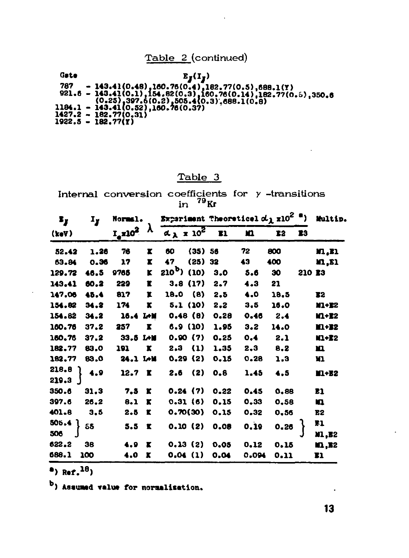### Table 2 (continued)



### Table 3

Internal conversion coefficients for  $\gamma$  -transitions<br>in  $^{79}$ Kr

| I,<br>$\mathbf{r}_I$        |                            |                   | Normal. Experiment Theoretical $d_{\lambda}$ x10 <sup>2</sup> <sup>a</sup> ) |               |           |      |       |          | Multip. |               |
|-----------------------------|----------------------------|-------------------|------------------------------------------------------------------------------|---------------|-----------|------|-------|----------|---------|---------------|
| (keV)                       | $I_{\rm e}x10^2$ $\lambda$ |                   | $a_{\lambda}$ x 10 <sup>2</sup> El                                           |               |           | m    | 12    | 13       |         |               |
| 52.42                       | 1.26                       | 76                | r                                                                            | 60            | $(35)$ 56 |      | 72    | 800      |         | <b>11, I1</b> |
| 63.84                       | 0.36                       | 17                | x                                                                            | 47            | (25)      | 32   | 43    | 400      |         | 11, II        |
| 129.72                      | 46.5                       | 9765              | ĸ                                                                            | $210^b)$ (10) |           | 3.0  | 5.6   | 30       | 210 E3  |               |
| 143.41                      | 60.2                       | 229               | r                                                                            |               | 3.8(17)   | 2.7  | 4.3   | 21       |         |               |
| 147.06                      | 45.4                       | 817               | x                                                                            | 18.0 (8)      |           | 2.5  | 4.0   | 18.5     |         | E2            |
| 154.62                      | 34.2                       | 174               | ĸ                                                                            |               | 5.1 (10)  | 2.2  | 3.5   | 16.0     |         | $M+22$        |
| 154.82                      | 34.2                       | 16.4 L+M          |                                                                              |               | 0.48(0)   | 0.28 | 0.46  | 2.4      |         | <b>11+12</b>  |
| 160.76                      | 37.2                       | 257               | r.                                                                           |               | 6.9 (10)  | 1.95 | 3.2   | 14.0     |         | $11+32$       |
| 160.76                      | 37.2                       | 33.5 LH           |                                                                              |               | 0.90(7)   | 0.25 | 0.4   | 2.1      |         | $11+12$       |
| 182.77                      | 83.0                       | 191               | ĸ                                                                            |               | 2.3(1)    | 1.35 | 2,3   | 8.2      |         | ш             |
| 182.77                      | 83.0                       | 24.1 M            |                                                                              |               | 0.29(2)   | 0.15 | 0.28  | 1.3      |         | w             |
| 218.8<br>219.3 <sup>1</sup> | 4.9                        | 12.7 <sub>l</sub> |                                                                              | 2.6           | (2)       | 0.6  | 1.45  | 4.5      |         | <b>ILI+E2</b> |
| 350.6                       | 31.3                       | 7.3               | ĸ                                                                            |               | 0.24(7)   | 0.22 | 0.45  | 0,88     |         | E1            |
| 397.6                       | 26.2                       | 8.1               | x                                                                            |               | 0.31(6)   | 0.15 | 0.33  | 0.58     |         | n             |
| 401.8                       | 3.5                        | 2.5               | x                                                                            |               | 0.70(30)  | 0.15 | 0.32  | 0,56     |         | В2            |
| 505.4<br>506                | 55                         | 5.5               | x                                                                            |               | 0.10(2)   | 0.08 | 0.19  | $0.26$ } |         | Ŧ1<br>M1,E2   |
| 622.2                       | 38                         | 4.9               | ĸ                                                                            |               | 0.13(2)   | 0.05 | 0.12  | 0.15     |         | <b>10,32</b>  |
| 688.1                       | 100                        | 4.0               | ĸ                                                                            | 0.04(1)       |           | 0.04 | 0.094 | 0.11     |         | 81            |

 $a)$  Ref.<sup>18</sup>)

b) Assumed value for normalization.

 $\ddot{\phantom{a}}$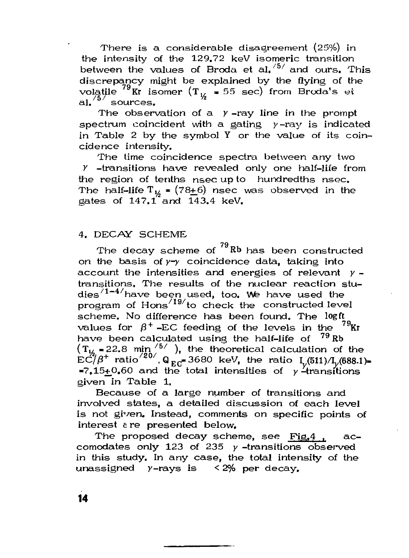There is a considerable disagreement  $(25%)$  in the intensity of the 129.72 keV isomeric transition between the values of Broda et al.<sup>/b/</sup> and ours. This discrepancy might be explained by the flying of the volatile  $\mathrm{``Kr}$  isomer (T $_{\mathrm{L\!}}$  = 55 sec) from Broda's et 1. Sources.

The observation of a  $y$ -ray line in the prompt spectrum coincident with a gating  $y$ -ray is indicated in Table 2 by the symbol Y or the value of its coincidence intensity.

The time coincidence spectra between any two  $Y$  -transitions have revealed only one half-life from the region of tenths nsec up to hundredths nsec. The half-life  $T_{12}$  = (78+6) nsec was observed in the gates of  $147.1^{7}$  and  $143.4$  keV.

### 4. DECAY SCHEME

The decay scheme of  $^{79}$ Rb has been constructed on the basis of *y-y* coincidence data, taking into account the intensities and energies of relevant  $y$ transitions. The results of the nuclear reaction studies<sup>/1–4/</sup>have been used, too. We have used the program of  $Hons<sup>/19</sup>$  to check the constructed level scheme. No difference has been found. The logft values for  $\beta^+$  –EC feeding of the levels in the  $^{79}\rm{Kr}$ have been calculated using the half-life of  $^{79}$  Rb  $(T_{1/}$  = 22.8 min<sup> $/5/$ </sup>), the theoretical calculation of the  $EC/\beta^+$  ratio  $^{20'}$ , Q  $_{EC}$  3680 keV, the ratio  $I_y(511)/I_y(688.1)$  $-7.15+0.60$  and the total intensities of  $\gamma$ -transitions given in Table 1.

Because of a large number of transitions and involved states, a detailed discussion of each level is not given. Instead, comments on specific points of interest e re presented below.

The proposed decay scheme, see  $Fig.4$  .  $ac$ comodates only 123 of 235 *у* -transitions observed in this study, In any case, the total intensity of the unassigned  $y$ -rays is < 2% per decay.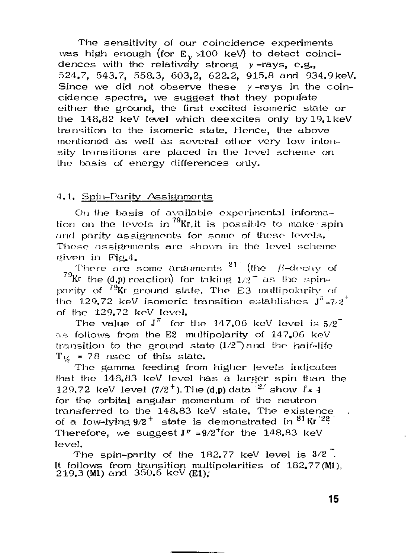The sensitivity of our coincidence experiments was high enough (for E $_{\rm \gamma}$  >100 keV) to detect coinci– dences with the relatively strong *у* -rays, e.g., 524.7, 543.7, 558.3, 603.2, 622.2, 915.8 and 934.9keV. Since we did not observe these  $\nu$ -rays in the coincidence spectra, we suggest that they populate either the ground, the first excited isomeric state or the  $148.82$  keV level which deexcites only by  $19.1$ keV transition to the isomeric state. Hence, the above mentioned as well as several other very low intensity transitions are placed in the level scheme on the basis of energy differences only.

### 4,1. Spin-Parity Assignments

On the basis of available experimental information on the levels in <sup>79</sup>Kr, it is possible to make spin and parity assignments for some of these levels. *and* parity assignments for some of these levels. Those assignments are shown in the level scheme given in Fig.4.<br>There are some arguments  $^{21}$  (the - B-decay of

There are some arguments (die /{-decay of **7 ( ) \**  rity of  $^{79}$ Kr ground slate. The E3 multipolarity  $\cdot$ the 129,72 keV isomeric transition establishes  ${\bf J}^{\pi}$   $\!$ of the  $129.72$  keV level.

The value of  $J^\pi$  for as follows from the  $E2$  multipolarity of  $147.06~keV$ transition to the ground state  $(1/2^-)$  and the half-life  $T_{1/2}$  = 78 nsec of this state.

The gamma feeding from that the  $148.83$  keV level has a larger spin than the 129.72 keV level  $(7/2^+)$ . The  $(d,p)$  data  $\frac{72}{3}$  show  $\int_{\pm}^{1} 4$ for the orbital angular momentum of the neutron transferred to the  $148.83$  keV state. The existence of a low-lying  $9/2^+$  state is demonstrated in  $81$  Kr  $^{22}$ . Therefore, we suggest  $J^{\pi}$  =9/2<sup>+</sup>for the 148.83 keV for the 148.83 keV in the 148.83 keV in the 148.83 keV in the 148.83 keV in the 148.83 keV in the 148.83 keV in the 148.83 keV in the 148.83 keV in the 148.83 keV in the 148.83 keV in the 148.83 keV in the 148.83 keV in th

level. The set of the set of the set of the set of the set of the set of the set of the set of the set of the set of the set of the set of the set of the set of the set of the set of the set of the set of the set of the se It follows from transition multipolarities of  $182.77 \,$ (M1),  $219.3 \,$ (M1) and  $350.6$  keV (E1);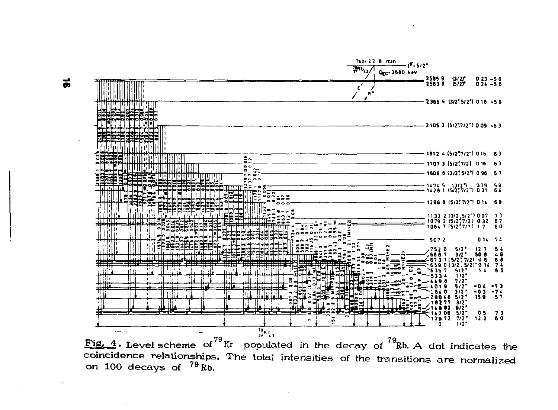

忌

coincidence relationships. The total intensities of the transitions are normalized on 100 decays of  $^{79}$  Rb.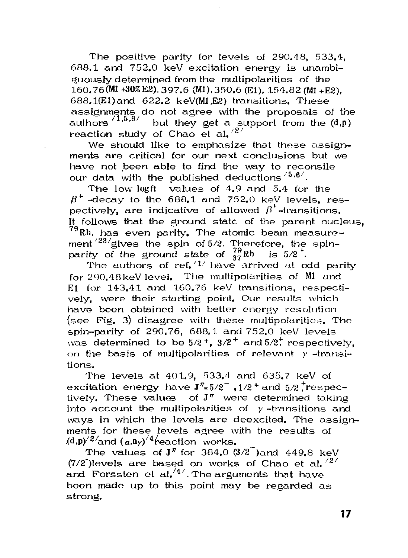The positive parity for levels of 290.48, 533.4, 688.1 and 752.0 keV excitation energy is unambiguously determined from the multipolarities of the 160.76(M1+30%E2), 397.6 (Ml), 350.6 (El), 154.82 (Ml+E2),  $688.1$ (E1)and  $622.2$  keV(M1.E2) transitions. These assignments do not agree with the proposals of the authors  $^{71.5.8/}$  but they get a support from the (d.n) but they get a support from the  $(d,p)$ reaction study of Chao et al.  $\frac{2}{3}$ 

We should like to emphasize that these assignments are critical for our next conclusions but we have not been able to find the way to reconsile our data with the published deductions  $\frac{5.6}{.}$ .

The low logft values of  $4.9$  and  $5.4$  for the  $\beta^+$  -decay to the 688.1 and 752.0 keV levels, respectively, are indicative of allowed  $\beta^*$ -transitions. It follows that the ground state of the parent nucleus,  $^{79}$ Rb, has even parity. The atomic beam measurement $^{723}{\rm {gives}}$  the spin of 5/2. Therefore, the spinparity of the ground state of  $^{19}_{37}$ Rb is 5/2<sup>+</sup>.

The authors of ref.  $1/$  have arrived at odd parity for 290.48keV level. The multipolarities of Ml and El for 143.41 and 160.76 keV transitions, respectively, were their starting point. Our results which have been obtained with better energy resolution  $($ see Fig. 3) disagree with these multipolarities. The spin-parity of 290.76, 688.1 and 752.0 keV levels was determined to be 5/2  $^+$ , 3/2  $^+$  and 5/2. $^+$  respectively, on the basis of multipolarities of relevant *у* -transitions.

The levels at 401.9, 533.4 and 635.7 keV of excitation energy have  ${\bf J}^{\pi}$ =5/2" ,1/2\* and 5/2 $^+$ respectively. These values of  $J^{\pi}$  were determined taking into account the multipolarities of  $y$ -transitions and ways in which the levels are deexcited. The assignments for these levels agree with the results of (d,p)<sup>/2/</sup>and  $(a, n_y)$ <sup>/4</sup>reaction works.

The values of  $J^{\pi}$  for 384.0  $(3/2)^{-1}$  and 449.8 keV (7/2")levels are based on works of Chao et al,  $^{\prime 2}{}^{\prime}$ and Forssten et al, $4^{\prime}$ . The arguments that have been made up to this point may be regarded as strong.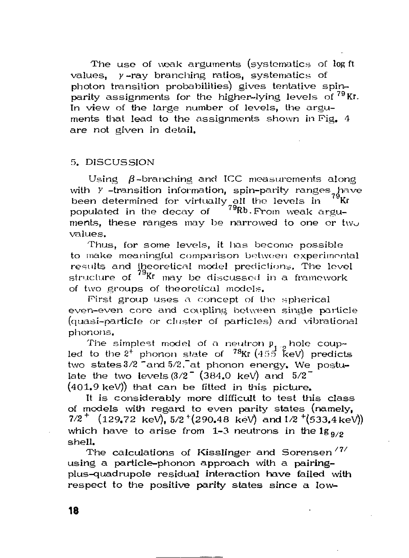The use of weak arguments (systematics of logit values, *у* -ray branching ratios, systemalics of photon transition probabilities) gives tentative spinparity assignments for the higher-lying levels of <sup>79</sup>Kr. In view of the large number of levels, the arguments that lead to the assignments shown in Pig. 4 are not given in detail.

### 5. DISCUSSION

Using  $\beta$ -branching and ICC measurements along with *Y* -transition information, spin-parity ranges have<br>heen determined for virtually all the levels in <sup>79</sup>Kr been determined for virtually all the levels in <sup>Te</sup>Kr populated in the decay of  $\ ^{79}\text{Rb}$ .From weak arguments, these ranges may be narrowed to one or two values.

Thus, for some levels, it has become possible to make meaningful comparison between experimental results and theoretical model predictions. The level structure of  $^{79}$ Kr may be discussed in a framework of two groups of theoretical models.

Pirst group uses a concept of the spherical even-even core and coupling between single particle (quasi-particle or cluster of particles) and vibrational phonons.

The simplest model of a neutron  $p_{\text{eff}}$  hole coupled to the  $2^+$  phonon state of  $^{-78}$ Kr  $(455^{\circ}$  keV) predicts two states 3/2 "and 5/2, at phonon energy. We postulate the two levels  $(3/2)$ <sup>-</sup>  $(384.0 \text{ keV})$  and  $5/2$ <sup>-</sup> (401.9 keV)) that can be fitted in this picture.

It is considerably more difficult to test this class of models with regard to even parity states (namely,  $7/2^+$   $(129.72 \text{ keV}), 5/2^+(290.48 \text{ keV})$  and  $1/2^+(533.4 \text{ keV})$ which have to arise from 1-3 neutrons in the  $1g_{0/9}$ shell.

The calculations of Kisslinger and Sorensen<sup> $77$ </sup> using a particle-phonon approach with a pairingplus-quad rupole residual interaction have failed with respect to the positive parity states since a low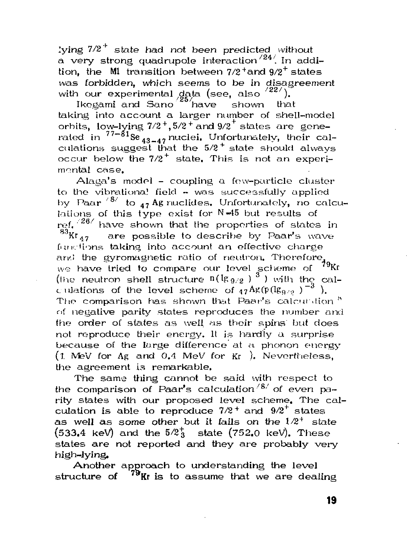lying  $7/2^+$  state had not been predicted without a very strong quadrupole interaction  $^{24/}$  In addition, the  $\,$  Ml transition between  $7/2^{\, +}$  and  $9/2^{\, +}$  states was forbidden, which seems to be in disagreement with our experimental data (see, also  $\frac{22}{2}$ ).

Ikegami and Sano $\frac{25}{h}$ have shown that taking into account a larger number of shell-model orbits, low-lying  $7/2^+, 5/2^+$  and  $9/2^+$  states are generated in  $\frac{77-81}{8}$  se<sub>43-47</sub> nuclei. Unfortunately, their ca culations suggest that the  $5/2^+$  state should always occur below the  $7/2^+$  state. This is not an experimental case.

Alaga's model - coupling a few-particle cluster to the vibrational field  $\sim$  was successfully applied by Paar  $\frac{8}{10}$  to  $_{47}$  Ag nuclides. Unfortunately, no calcu $b$  at to  $\frac{1}{4}$   $\frac{1}{4}$   $\frac{1}{4}$  or N $\frac{1}{4}$  but results of ref,  $128/180$  have shown that the properties of states in <sup>83</sup><sup>*RT<sub>47</sub>* are possible to describe by Paar's wave</sup> rictions taking into account an effective charge<br>- A the construction water of continue (Thoughout functions the gyromagnetic ratio of neutron, Therefore,  $\frac{1}{2}$ we have tried to compare our level scheme of  $\sim$ (the neutron shell structure  $\frac{n(\frac{n}{2}, p)}{n}$  ) with the cal-<br>with the scheme is the compared of  $\frac{A\cdot n}{n}$  $\alpha$  ulations of the level scheme of  $\eta \tau^{AB(p)}(\mathbb{E}_{\theta \wedge \theta})$  ). The comparison has shown that Paar's calculation<sup>8</sup> of negative parity states reproduces the number and<br>" the order of states as well as their spins but does not reproduce their energy. It is hardly a surprise because of the large difference at a phonon energy. (1 MeV for  $\Delta g$  and 0.4 MeV for  $Kr$ ). Nevertheless, the agreement is remarkable.

The same thing cannot be said with respect to the comparison of Paar's calculation  $8/$  of even parity states with our proposed level scheme. The ca culation is able to reproduce  $7/2$ <sup>+</sup> and  $9/2$ <sup>+</sup> states as well as some other but it fails on the  $1/2^+$  states  $(2.2, 1, 1, 2)$  $(533.4 \text{ keV})$  and the  $5/2<sub>3</sub>$  state  $(752.0 \text{ keV})$ . These states are not reported and they are probably very.<br>high-lying. high<del>-</del>lying,<br>are not reported and they are probably very probably very probably very probably very probably very probably ve

Another ب icture of t<sup>o</sup>Kris to assume that we are deal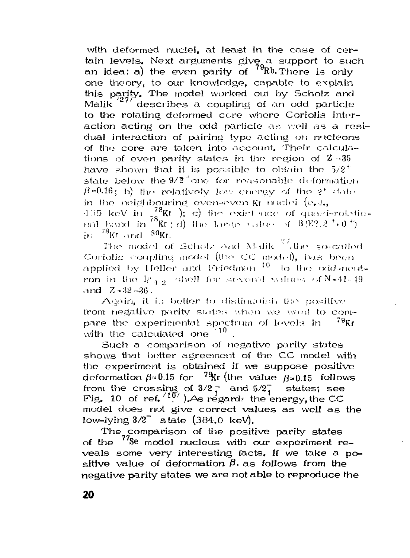with deformed nuclei, at least in the case of certain levels. Next arguments give a support to such an idea: a) the even parity of  $79Rb$ . There is only one theory, to our knowledge, capable to explain this parity. The model worked out by Scholz and Malik  $^{27/7}$ describes a coupling of an odd particle to the rotating deformed core where Coriolis interaction acting on the odd particle as well as a residual interaction of pairing type acting on nucleons of the core are taken into account. Their calculations of even parity states in the region of  $2 \approx 35$ have shown that it is possible to obtain the  $5/2^+$ state below the 9/2 one for reasonable deformation  $\beta$ =0.16; b) the relatively low energy of the 2<sup>+</sup> state in the neighbouring even-even Kr muclei (e.g., 455 keV in  $\frac{78}{78}$ Kr ); c) the exist note of quasi-rotatio-<br>nal band in  $\frac{78}{78}$ Kr; d) the large value of B(E2,2<sup>+</sup>+0<sup>+</sup>) in  $^{78}$ Kr and  $^{80}$ Kr.

The model of Scholz and Malik  $\frac{27}{3}$ , the so-called Coriolis coupling model (the CC model), has been applied by Heller and Friedman <sup>10</sup> to the odd-neutron in the  $\lg_{AB}$  shell for several values of N.41-19 and  $Z - 32 - 36$ .

Again, it is better to distinguist, the positive from negative parity states when we woul to compare the experimental spectrum of levels in  $^{79}$ Kr with the calculated one 10

Such a comparison of negative parily states shows that better agreement of the CC model with the experiment is obtained if we suppose positive deformation  $\beta \approx 0.15$  for <sup>79</sup>Kr (the value  $\beta \approx 0.15$  follows from the crossing of  $3/2$  and  $5/2$  states; see<br>Fig. 10 of ref.<sup>(10</sup>). As regards the energy, the CC states: see model does not give correct values as well as the low-lying  $3/2$ <sup>-</sup> state (384.0 keV).

The comparison of the positive parity states of the  $^{77}$ Se model nucleus with our experiment reveals some very interesting facts. If we take a positive value of deformation  $\beta$ , as follows from the negative parity states we are not able to reproduce the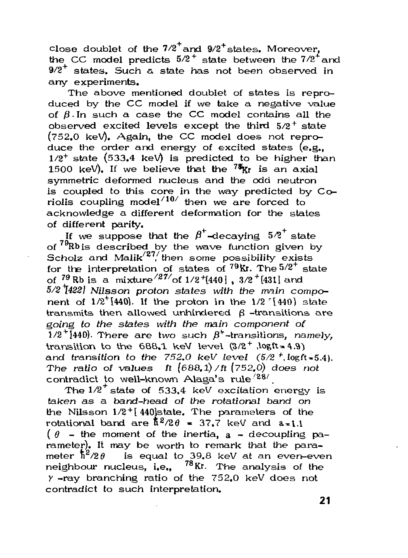close doublet of the  $7/2$  and  $9/2$  states. Moreover, the CC model predicts  $5/2^+$  state between the  $7/2^+$  and  $9/2^+$  states. Such a state has not been observed in any experiments.

The above mentioned doublet of states is reproduced by the CC model if we take a negative value of  $\beta$ . In such a case the CC model contains all the observed excited levels except the third  $5/2^+$  state  $(752.0 \text{ keV})$ . Again, the CC model does not reproduce the order and energy of excited states  $(e.g.,)$ 1/2<sup>+</sup> state (533,4 keV) is predicted to be higher than 1500 keV). If we believe that the <sup>78</sup>Kr is an axial symmetric deformed nucleus and the odd neutron is coupled to this core in the way predicted by Coriolis coupling model $^{/10/}$  then we are forced to acknowledge a different deformation for the states of different parity.

If we suppose that the  $\beta^+$ -decaying  $5/2^+$  state of  $79Rb$  is described by the wave function given by **Scholz and Malik<sup>(27</sup>/then some possibility exists** for the interpretation of states of  $^{79}\text{Kr}$ . The  $5/2^+$  state of  $^{79}$  Rb is a mixture $^{/27\prime}$ of 1/2+[440], 3/2+[431] and *5/2\*1422} Nilsson proton states with the main compo*nent of 1/2<sup>+</sup>[440]. If the proton in the 1/2 <sup>r</sup>[440] state transmits then allowed unhindered  $\beta$  -transitions are going *to the states with the main component of*  1/2<sup>+</sup>[440]. There are two such  $\beta^+$ -transitions, namely, transition to the 688.1 keV level  $(3/2^+, \log t = 4.9)$ and transition to the  $752.0$  keV level  $(5/2<sup>+</sup>, \log ft = 5.4)$ . The ratio of values ft  $(688.1)/$ ft  $(752.0)$  does not contradict to well—known Alaga's rule $^{/28/}$  .

The  $1/2^+$  state of 533.4 keV excitation energy is taken as a band-head of the rotational band on the Nilsson  $1/2$ <sup>+</sup>[440]state. The parameters of the rotational band are  $\hbar^2/2\theta = 37.7$  keV and  $a=1.1$  $\theta$  - the moment of the inertia, a - decoupling parameter). It may be worth to remark that the parameter  $\hbar^2/2\theta$  is equal to 39.8 keV at an even-even neighbour nucleus, i.e., <sup>78</sup>Kr. The analysis of the  $\gamma$ -ray branching ratio of the 752.0 keV does not contradict to such interpretation.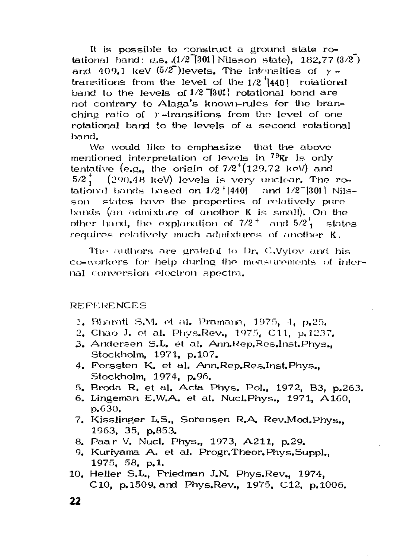It is possible to construct a ground state rotational band:  $g_s$ ,  $(1/2)$ [301] Nilsson state), 182.77 $(3/2)$ ] and 409.1 keV  $(5/2)$  levels. The intensities of  $y$ transitions from the level of the  $1/2$   $(440)$  rotational band to the levels of  $1/2$ <sup>-[301]</sup> rotational band are not contrary to Alaga's known-rules for the branching ratio of  $\gamma$ -transitions from the level of one rotational band to the levels of a second rotational band .

We would like to emphasize that the above mentioned interpretation of levels in <sup>79</sup>Kr is only tentative (e.g., the origin of  $7/2^+(129.72$  keV) and  $5/2^*$  (290.48 keV) levels is very unclear. The rotational bands Ixised on  $1/2$   $440$ ] and  $1/2$ <sup>-1301</sup> Nilsson states have the properties of relatively pure bands (an admixture of another K is small). On the other hand, the explanation of  $7/2^+$  and  $5/2^+$  states requires relatively much admixtures of another K.

The authors are grateful to Dr. C.Vylov and his co-workers for help during the measurements of internal conversion electron spectra.

**REPERENCES** 

- 1. Bharati S.M. et al. Pramana, 1975, 4, p. 25.
- 2. Chao J. et al. Phys.Rev., 1975, C11, p.1237.
- 3. Andersen S.L. et al. Ann.Rep.Res.Inst.Phys.. Stockholm, 1971, p.107.
- 4. Forssten K. et al. [Ann.Rep.Res.Inst.Phys.](http://Ann.Rep.Res.Inst.Phys) Stockholm, 1974, p.96.
- 5. Broda R. et al. Acta Phys. Pol., 1972, B3, p.263.
- 6. Lingeman E.W.A. et al. Nucl. Phys., 1971, A160, p.630.
- 7. Kisslinger L.S., Sorensen R.A. Rev.Mod.Phys., 1963, 35, p.853.
- 8. Paar V. Nucl. Phys., 1973, A211, p.29.
- 9. Kuriyama A, et al, Progr. Theor. Phys. Suppl., 1975, 58, p.1.
- 10. Heller S.L., Friedman J.N. Phys.Rev., 1974. C10, p.1509 and Phys.Rev., 1975, C12, p.1006.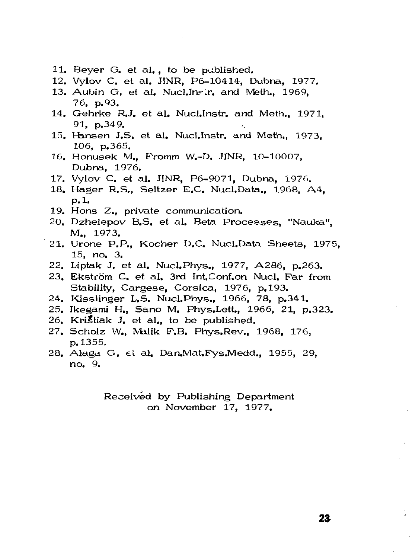- 11. Beyer G. et al. , to be published.
- 12. Vylov C. et al. JINR, P6-10414, Dubna. 1977.
- 13. Aubin G. et al. Nucl.Ins.r. and Meth., 1969. 76, p. 93.
- 14. Gehrke R.J. et al. Nucl.Instr. and Meth., 1971, 91, p.349.
- 15. Hansen J.S. et al. Nucl.Instr. and Meth., 1973, 106, p.365.
- 16. Honusek M., Fromm W.-D. JINR, 10-10007, Dubna, 1976.
- 17. Vylov C. et al. JINR, P6-9071, Dubna, 1976.
- 18. Hager R.S., Seltzer E.C. Nucl.Data., 1968, A4, p.l.
- 19. Hons Z., private communication.
- 20. Dzhelepov B.S. et al. Beta Processes, "Nauka", M., 1973.
- 21. Urone P.P., Kocher D.C. Nucl.Data Sheets, 1975. 15, *no.* 3.
- 22. Liptak J. et al. Nucl.Phys., 1977, A286, p.263.
- 23. Ekström C. et al. 3rd [Int.Conf.on N](http://Int.Conf.on)ucl. Far from Stability, Cargese, Corsica, 1976, p.193.
- 24. Kisslinger L.S. Nucl.Phys., 1966, 78, p.341.
- 25. Ikegami H., Sano M. Phys.Lett., 1966, 21, p.323.
- 26. Krištiak J. et al., to be published.
- 27. Scholz W., Malik F.B. Phys.Rev., 1968, 176, p. 1355.
- 28. Alaga G. et al. [Dan.Mat.Fys.Medd.](http://Dan.Mat.Fys.Medd), 1955, 29, no. 9.

Received by Publishing Department on November 17, 1977.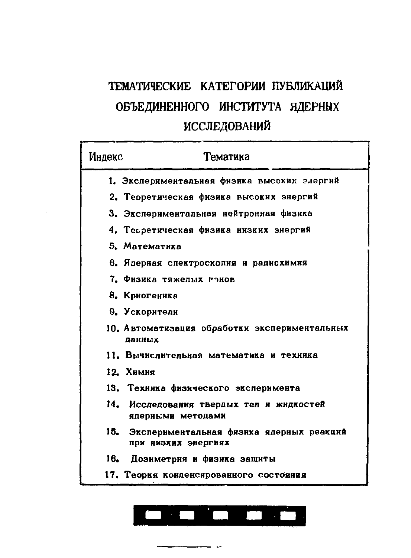# ТЕМАТИЧЕСКИЕ КАТЕГОРИИ ПУБЛИКАЦИЙ ОБЪЕДИНЕННОГО ИНСТИТУТА ЯДЕРНЫХ ИССЛЕДОВАНИЙ

| Индекс | Тематика                                                            |
|--------|---------------------------------------------------------------------|
|        | 1. Экспериментальная физика высоких элергий                         |
|        | 2. Теоретическая физика высоких энергий                             |
|        | 3. Экспериментальная нейтронная физика                              |
|        | 4. Тесретическая физика низких энергий                              |
|        | 5. Математика                                                       |
|        | 6. Ядерная спектроскопия и радиохимия                               |
|        | 7. Физика тяжелых гонов                                             |
|        | 8. Криогеника                                                       |
|        | 9. Ускорители                                                       |
|        | 10. Автоматизация обработки экспериментальных<br>панных             |
|        | 11. Вычислительная математика и техника                             |
|        | 12. Химия                                                           |
|        | 13. Техника физического эксперимента                                |
|        | 14. Исследования твердых тел и жидкостей<br>ядериь:ми методами      |
|        | 15. Экспериментальная физика ядерных реакций<br>при низких энергиях |
| 16.    | Дозиметрия и физика защиты                                          |
|        | 17. Теория конденсированного состояния                              |

#